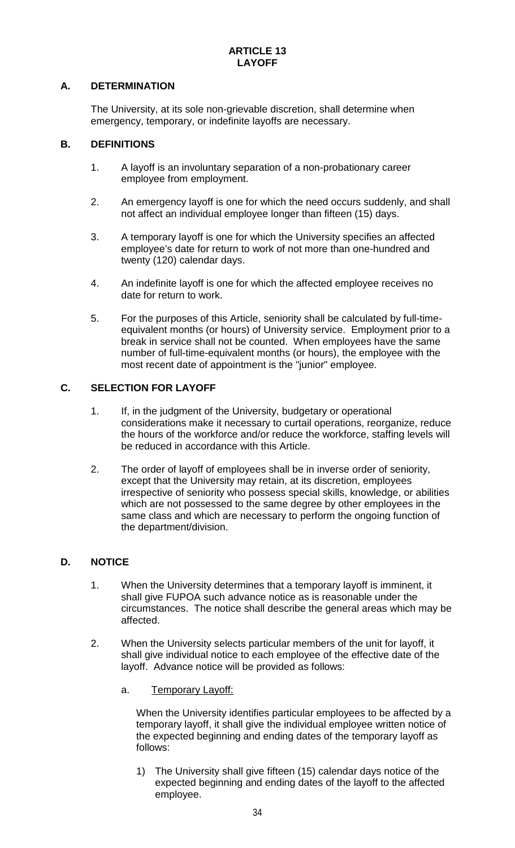# **A. DETERMINATION**

The University, at its sole non-grievable discretion, shall determine when emergency, temporary, or indefinite layoffs are necessary.

# **B. DEFINITIONS**

- 1. A layoff is an involuntary separation of a non-probationary career employee from employment.
- 2. An emergency layoff is one for which the need occurs suddenly, and shall not affect an individual employee longer than fifteen (15) days.
- 3. A temporary layoff is one for which the University specifies an affected employee's date for return to work of not more than one-hundred and twenty (120) calendar days.
- 4. An indefinite layoff is one for which the affected employee receives no date for return to work.
- 5. For the purposes of this Article, seniority shall be calculated by full-timeequivalent months (or hours) of University service. Employment prior to a break in service shall not be counted. When employees have the same number of full-time-equivalent months (or hours), the employee with the most recent date of appointment is the "junior" employee.

# **C. SELECTION FOR LAYOFF**

- 1. If, in the judgment of the University, budgetary or operational considerations make it necessary to curtail operations, reorganize, reduce the hours of the workforce and/or reduce the workforce, staffing levels will be reduced in accordance with this Article.
- 2. The order of layoff of employees shall be in inverse order of seniority, except that the University may retain, at its discretion, employees irrespective of seniority who possess special skills, knowledge, or abilities which are not possessed to the same degree by other employees in the same class and which are necessary to perform the ongoing function of the department/division.

#### **D. NOTICE**

- 1. When the University determines that a temporary layoff is imminent, it shall give FUPOA such advance notice as is reasonable under the circumstances. The notice shall describe the general areas which may be affected.
- 2. When the University selects particular members of the unit for layoff, it shall give individual notice to each employee of the effective date of the layoff. Advance notice will be provided as follows:
	- a. Temporary Layoff:

When the University identifies particular employees to be affected by a temporary layoff, it shall give the individual employee written notice of the expected beginning and ending dates of the temporary layoff as follows:

1) The University shall give fifteen (15) calendar days notice of the expected beginning and ending dates of the layoff to the affected employee.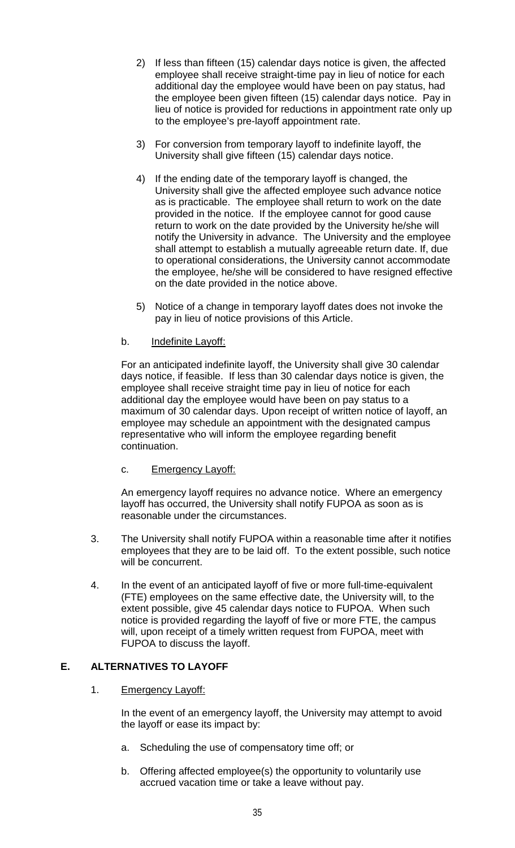- 2) If less than fifteen (15) calendar days notice is given, the affected employee shall receive straight-time pay in lieu of notice for each additional day the employee would have been on pay status, had the employee been given fifteen (15) calendar days notice. Pay in lieu of notice is provided for reductions in appointment rate only up to the employee's pre-layoff appointment rate.
- 3) For conversion from temporary layoff to indefinite layoff, the University shall give fifteen (15) calendar days notice.
- 4) If the ending date of the temporary layoff is changed, the University shall give the affected employee such advance notice as is practicable. The employee shall return to work on the date provided in the notice. If the employee cannot for good cause return to work on the date provided by the University he/she will notify the University in advance. The University and the employee shall attempt to establish a mutually agreeable return date. If, due to operational considerations, the University cannot accommodate the employee, he/she will be considered to have resigned effective on the date provided in the notice above.
- 5) Notice of a change in temporary layoff dates does not invoke the pay in lieu of notice provisions of this Article.

#### b. Indefinite Layoff:

For an anticipated indefinite layoff, the University shall give 30 calendar days notice, if feasible. If less than 30 calendar days notice is given, the employee shall receive straight time pay in lieu of notice for each additional day the employee would have been on pay status to a maximum of 30 calendar days. Upon receipt of written notice of layoff, an employee may schedule an appointment with the designated campus representative who will inform the employee regarding benefit continuation.

#### c. Emergency Layoff:

An emergency layoff requires no advance notice. Where an emergency layoff has occurred, the University shall notify FUPOA as soon as is reasonable under the circumstances.

- 3. The University shall notify FUPOA within a reasonable time after it notifies employees that they are to be laid off. To the extent possible, such notice will be concurrent.
- 4. In the event of an anticipated layoff of five or more full-time-equivalent (FTE) employees on the same effective date, the University will, to the extent possible, give 45 calendar days notice to FUPOA. When such notice is provided regarding the layoff of five or more FTE, the campus will, upon receipt of a timely written request from FUPOA, meet with FUPOA to discuss the layoff.

# **E. ALTERNATIVES TO LAYOFF**

#### 1. Emergency Layoff:

In the event of an emergency layoff, the University may attempt to avoid the layoff or ease its impact by:

- a. Scheduling the use of compensatory time off; or
- b. Offering affected employee(s) the opportunity to voluntarily use accrued vacation time or take a leave without pay.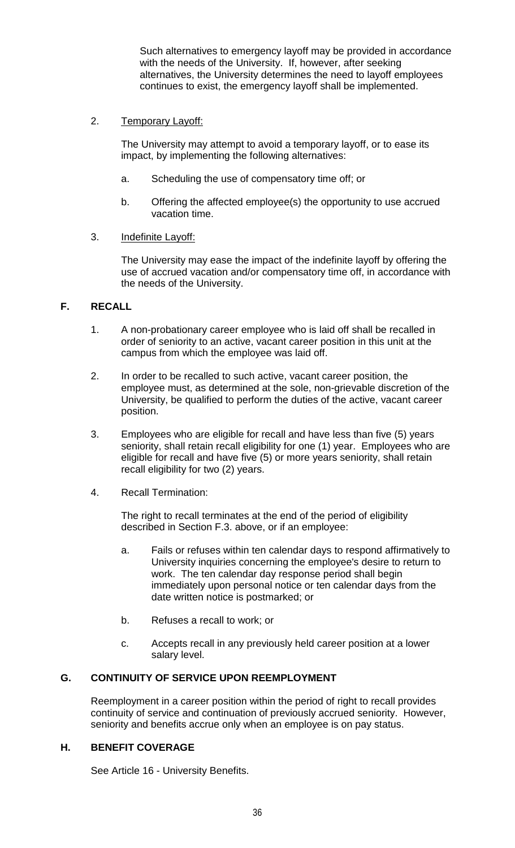Such alternatives to emergency layoff may be provided in accordance with the needs of the University. If, however, after seeking alternatives, the University determines the need to layoff employees continues to exist, the emergency layoff shall be implemented.

### 2. Temporary Layoff:

The University may attempt to avoid a temporary layoff, or to ease its impact, by implementing the following alternatives:

- a. Scheduling the use of compensatory time off; or
- b. Offering the affected employee(s) the opportunity to use accrued vacation time.

# 3. Indefinite Layoff:

The University may ease the impact of the indefinite layoff by offering the use of accrued vacation and/or compensatory time off, in accordance with the needs of the University.

# **F. RECALL**

- 1. A non-probationary career employee who is laid off shall be recalled in order of seniority to an active, vacant career position in this unit at the campus from which the employee was laid off.
- 2. In order to be recalled to such active, vacant career position, the employee must, as determined at the sole, non-grievable discretion of the University, be qualified to perform the duties of the active, vacant career position.
- 3. Employees who are eligible for recall and have less than five (5) years seniority, shall retain recall eligibility for one (1) year. Employees who are eligible for recall and have five (5) or more years seniority, shall retain recall eligibility for two (2) years.
- 4. Recall Termination:

The right to recall terminates at the end of the period of eligibility described in Section F.3. above, or if an employee:

- a. Fails or refuses within ten calendar days to respond affirmatively to University inquiries concerning the employee's desire to return to work. The ten calendar day response period shall begin immediately upon personal notice or ten calendar days from the date written notice is postmarked; or
- b. Refuses a recall to work; or
- c. Accepts recall in any previously held career position at a lower salary level.

# **G. CONTINUITY OF SERVICE UPON REEMPLOYMENT**

Reemployment in a career position within the period of right to recall provides continuity of service and continuation of previously accrued seniority. However, seniority and benefits accrue only when an employee is on pay status.

#### **H. BENEFIT COVERAGE**

See Article 16 - University Benefits.